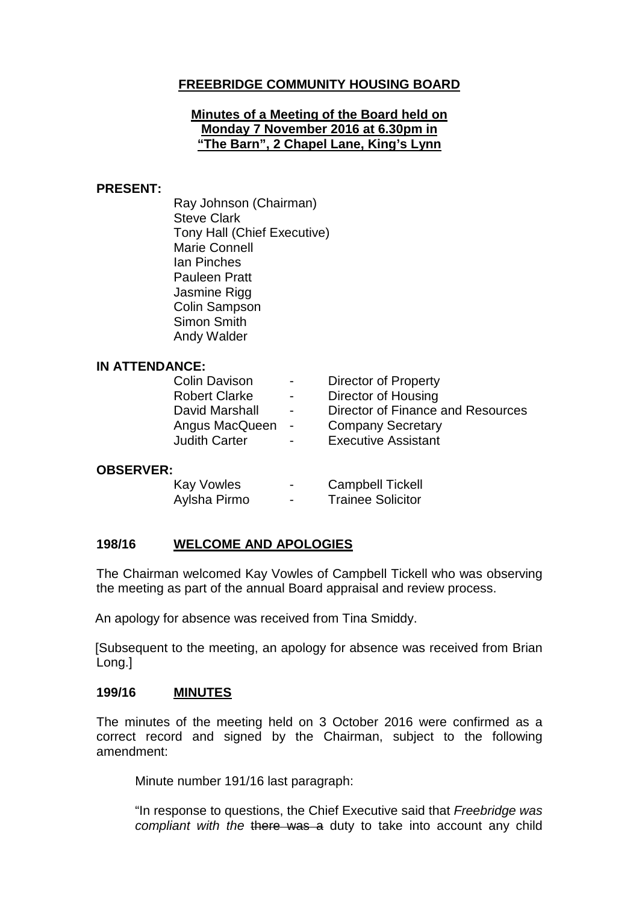# **FREEBRIDGE COMMUNITY HOUSING BOARD**

### **Minutes of a Meeting of the Board held on Monday 7 November 2016 at 6.30pm in "The Barn", 2 Chapel Lane, King's Lynn**

### **PRESENT:**

Ray Johnson (Chairman) Steve Clark Tony Hall (Chief Executive) Marie Connell Ian Pinches Pauleen Pratt Jasmine Rigg Colin Sampson Simon Smith Andy Walder

### **IN ATTENDANCE:**

| <b>Colin Davison</b> | $\sim$ $\sim$            | <b>Director of Property</b>       |
|----------------------|--------------------------|-----------------------------------|
| <b>Robert Clarke</b> | $\overline{\phantom{0}}$ | Director of Housing               |
| David Marshall       | $\sim$                   | Director of Finance and Resources |
| Angus MacQueen       | $\sim$ $-$               | <b>Company Secretary</b>          |
| <b>Judith Carter</b> | $\overline{\phantom{0}}$ | <b>Executive Assistant</b>        |
|                      |                          |                                   |

### **OBSERVER:**

| <b>Kay Vowles</b> | - | <b>Campbell Tickell</b>  |
|-------------------|---|--------------------------|
| Aylsha Pirmo      | - | <b>Trainee Solicitor</b> |

## **198/16 WELCOME AND APOLOGIES**

The Chairman welcomed Kay Vowles of Campbell Tickell who was observing the meeting as part of the annual Board appraisal and review process.

An apology for absence was received from Tina Smiddy.

[Subsequent to the meeting, an apology for absence was received from Brian Long.]

### **199/16 MINUTES**

The minutes of the meeting held on 3 October 2016 were confirmed as a correct record and signed by the Chairman, subject to the following amendment:

Minute number 191/16 last paragraph:

"In response to questions, the Chief Executive said that *Freebridge was compliant with the* there was a duty to take into account any child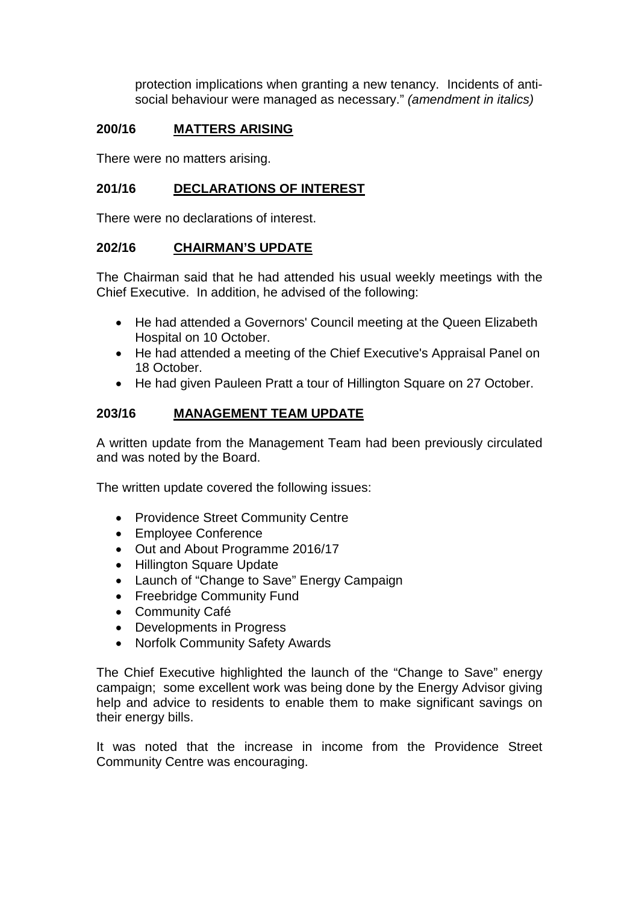protection implications when granting a new tenancy. Incidents of antisocial behaviour were managed as necessary." *(amendment in italics)*

# **200/16 MATTERS ARISING**

There were no matters arising.

## **201/16 DECLARATIONS OF INTEREST**

There were no declarations of interest.

### **202/16 CHAIRMAN'S UPDATE**

The Chairman said that he had attended his usual weekly meetings with the Chief Executive. In addition, he advised of the following:

- He had attended a Governors' Council meeting at the Queen Elizabeth Hospital on 10 October.
- He had attended a meeting of the Chief Executive's Appraisal Panel on 18 October.
- He had given Pauleen Pratt a tour of Hillington Square on 27 October.

# **203/16 MANAGEMENT TEAM UPDATE**

A written update from the Management Team had been previously circulated and was noted by the Board.

The written update covered the following issues:

- Providence Street Community Centre
- Employee Conference
- Out and About Programme 2016/17
- Hillington Square Update
- Launch of "Change to Save" Energy Campaign
- Freebridge Community Fund
- Community Café
- Developments in Progress
- Norfolk Community Safety Awards

The Chief Executive highlighted the launch of the "Change to Save" energy campaign; some excellent work was being done by the Energy Advisor giving help and advice to residents to enable them to make significant savings on their energy bills.

It was noted that the increase in income from the Providence Street Community Centre was encouraging.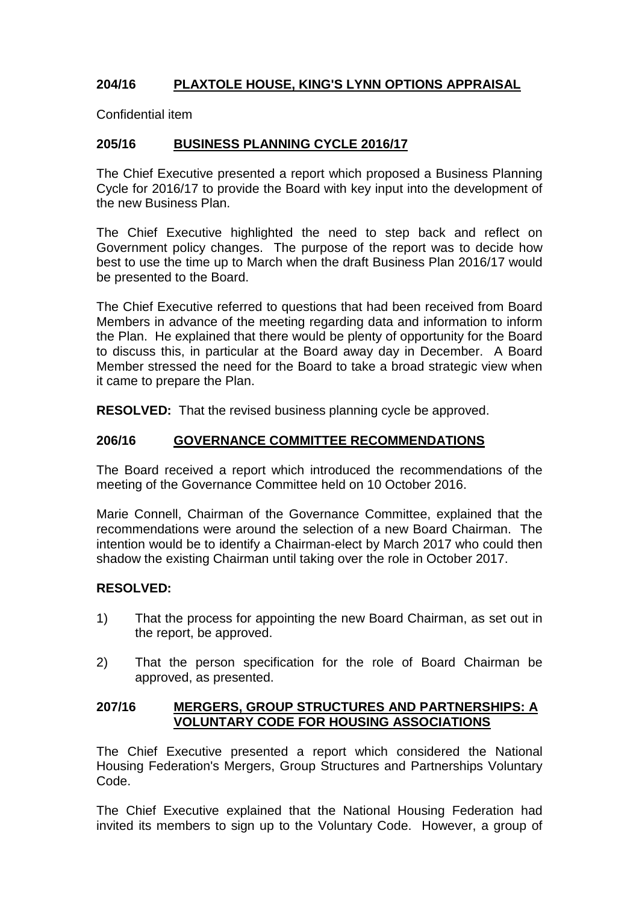# **204/16 PLAXTOLE HOUSE, KING'S LYNN OPTIONS APPRAISAL**

Confidential item

# **205/16 BUSINESS PLANNING CYCLE 2016/17**

The Chief Executive presented a report which proposed a Business Planning Cycle for 2016/17 to provide the Board with key input into the development of the new Business Plan.

The Chief Executive highlighted the need to step back and reflect on Government policy changes. The purpose of the report was to decide how best to use the time up to March when the draft Business Plan 2016/17 would be presented to the Board.

The Chief Executive referred to questions that had been received from Board Members in advance of the meeting regarding data and information to inform the Plan. He explained that there would be plenty of opportunity for the Board to discuss this, in particular at the Board away day in December. A Board Member stressed the need for the Board to take a broad strategic view when it came to prepare the Plan.

**RESOLVED:** That the revised business planning cycle be approved.

### **206/16 GOVERNANCE COMMITTEE RECOMMENDATIONS**

The Board received a report which introduced the recommendations of the meeting of the Governance Committee held on 10 October 2016.

Marie Connell, Chairman of the Governance Committee, explained that the recommendations were around the selection of a new Board Chairman. The intention would be to identify a Chairman-elect by March 2017 who could then shadow the existing Chairman until taking over the role in October 2017.

### **RESOLVED:**

- 1) That the process for appointing the new Board Chairman, as set out in the report, be approved.
- 2) That the person specification for the role of Board Chairman be approved, as presented.

### **207/16 MERGERS, GROUP STRUCTURES AND PARTNERSHIPS: A VOLUNTARY CODE FOR HOUSING ASSOCIATIONS**

The Chief Executive presented a report which considered the National Housing Federation's Mergers, Group Structures and Partnerships Voluntary Code.

The Chief Executive explained that the National Housing Federation had invited its members to sign up to the Voluntary Code. However, a group of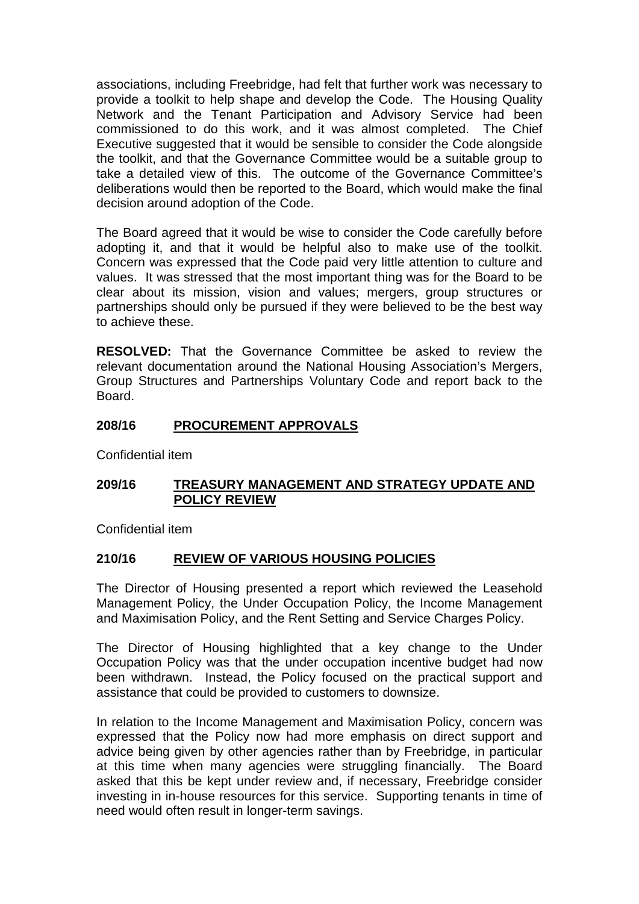associations, including Freebridge, had felt that further work was necessary to provide a toolkit to help shape and develop the Code. The Housing Quality Network and the Tenant Participation and Advisory Service had been commissioned to do this work, and it was almost completed. The Chief Executive suggested that it would be sensible to consider the Code alongside the toolkit, and that the Governance Committee would be a suitable group to take a detailed view of this. The outcome of the Governance Committee's deliberations would then be reported to the Board, which would make the final decision around adoption of the Code.

The Board agreed that it would be wise to consider the Code carefully before adopting it, and that it would be helpful also to make use of the toolkit. Concern was expressed that the Code paid very little attention to culture and values. It was stressed that the most important thing was for the Board to be clear about its mission, vision and values; mergers, group structures or partnerships should only be pursued if they were believed to be the best way to achieve these.

**RESOLVED:** That the Governance Committee be asked to review the relevant documentation around the National Housing Association's Mergers, Group Structures and Partnerships Voluntary Code and report back to the Board.

# **208/16 PROCUREMENT APPROVALS**

Confidential item

## **209/16 TREASURY MANAGEMENT AND STRATEGY UPDATE AND POLICY REVIEW**

Confidential item

## **210/16 REVIEW OF VARIOUS HOUSING POLICIES**

The Director of Housing presented a report which reviewed the Leasehold Management Policy, the Under Occupation Policy, the Income Management and Maximisation Policy, and the Rent Setting and Service Charges Policy.

The Director of Housing highlighted that a key change to the Under Occupation Policy was that the under occupation incentive budget had now been withdrawn. Instead, the Policy focused on the practical support and assistance that could be provided to customers to downsize.

In relation to the Income Management and Maximisation Policy, concern was expressed that the Policy now had more emphasis on direct support and advice being given by other agencies rather than by Freebridge, in particular at this time when many agencies were struggling financially. The Board asked that this be kept under review and, if necessary, Freebridge consider investing in in-house resources for this service. Supporting tenants in time of need would often result in longer-term savings.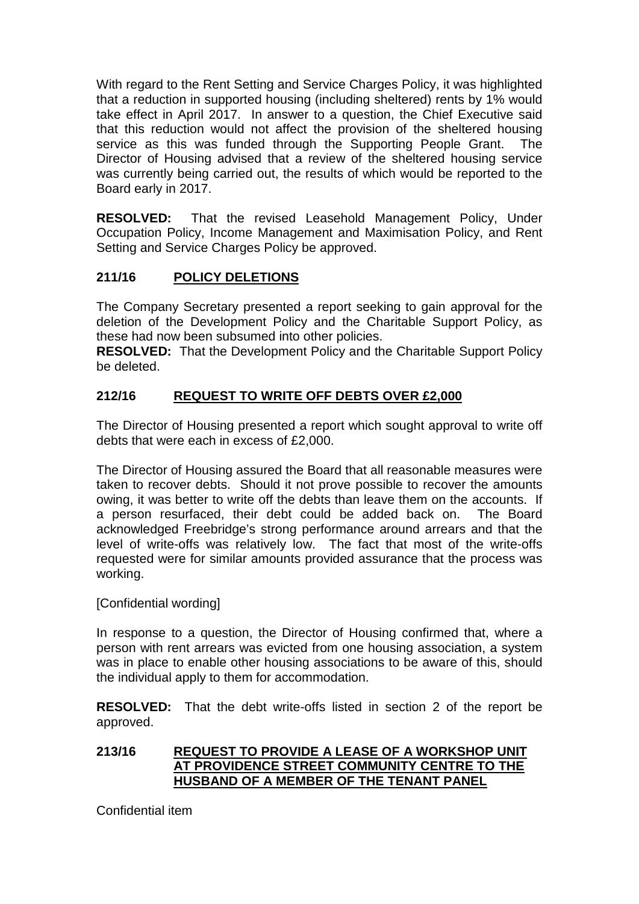With regard to the Rent Setting and Service Charges Policy, it was highlighted that a reduction in supported housing (including sheltered) rents by 1% would take effect in April 2017. In answer to a question, the Chief Executive said that this reduction would not affect the provision of the sheltered housing service as this was funded through the Supporting People Grant. The Director of Housing advised that a review of the sheltered housing service was currently being carried out, the results of which would be reported to the Board early in 2017.

**RESOLVED:** That the revised Leasehold Management Policy, Under Occupation Policy, Income Management and Maximisation Policy, and Rent Setting and Service Charges Policy be approved.

# **211/16 POLICY DELETIONS**

The Company Secretary presented a report seeking to gain approval for the deletion of the Development Policy and the Charitable Support Policy, as these had now been subsumed into other policies.

**RESOLVED:** That the Development Policy and the Charitable Support Policy be deleted.

# **212/16 REQUEST TO WRITE OFF DEBTS OVER £2,000**

The Director of Housing presented a report which sought approval to write off debts that were each in excess of £2,000.

The Director of Housing assured the Board that all reasonable measures were taken to recover debts. Should it not prove possible to recover the amounts owing, it was better to write off the debts than leave them on the accounts. If a person resurfaced, their debt could be added back on. The Board acknowledged Freebridge's strong performance around arrears and that the level of write-offs was relatively low. The fact that most of the write-offs requested were for similar amounts provided assurance that the process was working.

[Confidential wording]

In response to a question, the Director of Housing confirmed that, where a person with rent arrears was evicted from one housing association, a system was in place to enable other housing associations to be aware of this, should the individual apply to them for accommodation.

**RESOLVED:** That the debt write-offs listed in section 2 of the report be approved.

# **213/16 REQUEST TO PROVIDE A LEASE OF A WORKSHOP UNIT AT PROVIDENCE STREET COMMUNITY CENTRE TO THE HUSBAND OF A MEMBER OF THE TENANT PANEL**

Confidential item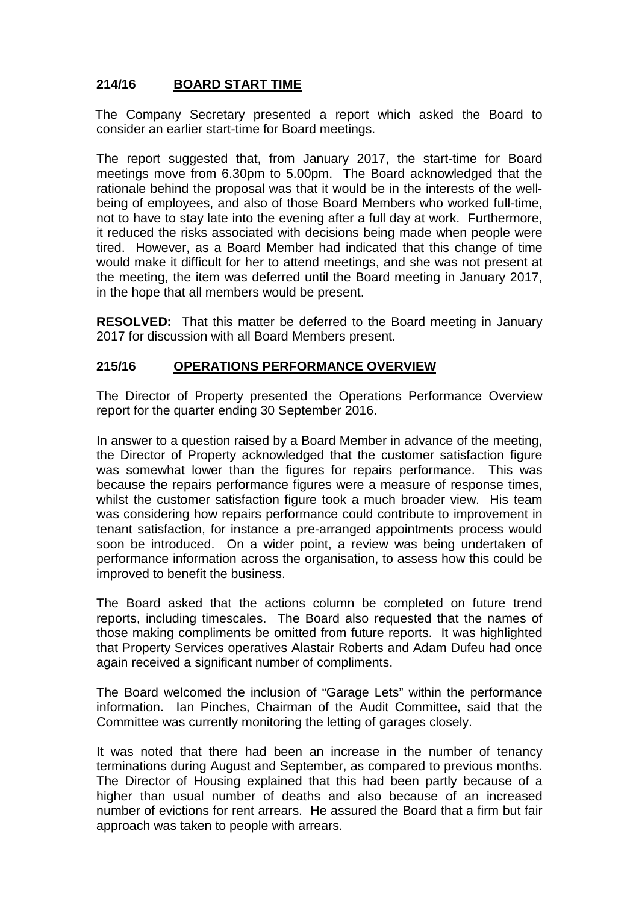# **214/16 BOARD START TIME**

The Company Secretary presented a report which asked the Board to consider an earlier start-time for Board meetings.

The report suggested that, from January 2017, the start-time for Board meetings move from 6.30pm to 5.00pm. The Board acknowledged that the rationale behind the proposal was that it would be in the interests of the wellbeing of employees, and also of those Board Members who worked full-time, not to have to stay late into the evening after a full day at work. Furthermore, it reduced the risks associated with decisions being made when people were tired. However, as a Board Member had indicated that this change of time would make it difficult for her to attend meetings, and she was not present at the meeting, the item was deferred until the Board meeting in January 2017, in the hope that all members would be present.

**RESOLVED:** That this matter be deferred to the Board meeting in January 2017 for discussion with all Board Members present.

### **215/16 OPERATIONS PERFORMANCE OVERVIEW**

The Director of Property presented the Operations Performance Overview report for the quarter ending 30 September 2016.

In answer to a question raised by a Board Member in advance of the meeting, the Director of Property acknowledged that the customer satisfaction figure was somewhat lower than the figures for repairs performance. This was because the repairs performance figures were a measure of response times, whilst the customer satisfaction figure took a much broader view. His team was considering how repairs performance could contribute to improvement in tenant satisfaction, for instance a pre-arranged appointments process would soon be introduced. On a wider point, a review was being undertaken of performance information across the organisation, to assess how this could be improved to benefit the business.

The Board asked that the actions column be completed on future trend reports, including timescales. The Board also requested that the names of those making compliments be omitted from future reports. It was highlighted that Property Services operatives Alastair Roberts and Adam Dufeu had once again received a significant number of compliments.

The Board welcomed the inclusion of "Garage Lets" within the performance information. Ian Pinches, Chairman of the Audit Committee, said that the Committee was currently monitoring the letting of garages closely.

It was noted that there had been an increase in the number of tenancy terminations during August and September, as compared to previous months. The Director of Housing explained that this had been partly because of a higher than usual number of deaths and also because of an increased number of evictions for rent arrears. He assured the Board that a firm but fair approach was taken to people with arrears.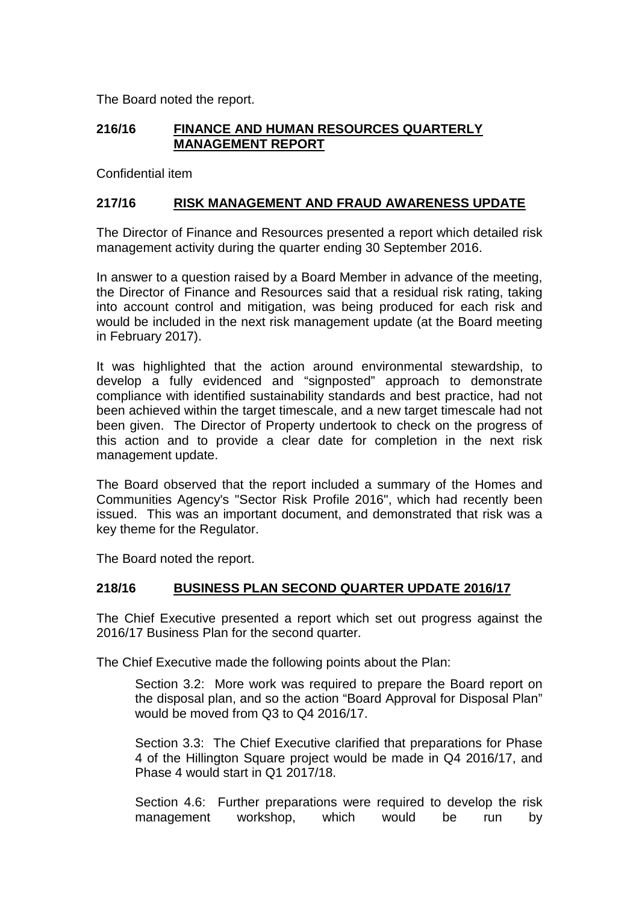The Board noted the report.

# **216/16 FINANCE AND HUMAN RESOURCES QUARTERLY MANAGEMENT REPORT**

Confidential item

### **217/16 RISK MANAGEMENT AND FRAUD AWARENESS UPDATE**

The Director of Finance and Resources presented a report which detailed risk management activity during the quarter ending 30 September 2016.

In answer to a question raised by a Board Member in advance of the meeting, the Director of Finance and Resources said that a residual risk rating, taking into account control and mitigation, was being produced for each risk and would be included in the next risk management update (at the Board meeting in February 2017).

It was highlighted that the action around environmental stewardship, to develop a fully evidenced and "signposted" approach to demonstrate compliance with identified sustainability standards and best practice, had not been achieved within the target timescale, and a new target timescale had not been given. The Director of Property undertook to check on the progress of this action and to provide a clear date for completion in the next risk management update.

The Board observed that the report included a summary of the Homes and Communities Agency's "Sector Risk Profile 2016", which had recently been issued. This was an important document, and demonstrated that risk was a key theme for the Regulator.

The Board noted the report.

## **218/16 BUSINESS PLAN SECOND QUARTER UPDATE 2016/17**

The Chief Executive presented a report which set out progress against the 2016/17 Business Plan for the second quarter.

The Chief Executive made the following points about the Plan:

Section 3.2: More work was required to prepare the Board report on the disposal plan, and so the action "Board Approval for Disposal Plan" would be moved from Q3 to Q4 2016/17.

Section 3.3: The Chief Executive clarified that preparations for Phase 4 of the Hillington Square project would be made in Q4 2016/17, and Phase 4 would start in Q1 2017/18.

Section 4.6: Further preparations were required to develop the risk management workshop, which would be run by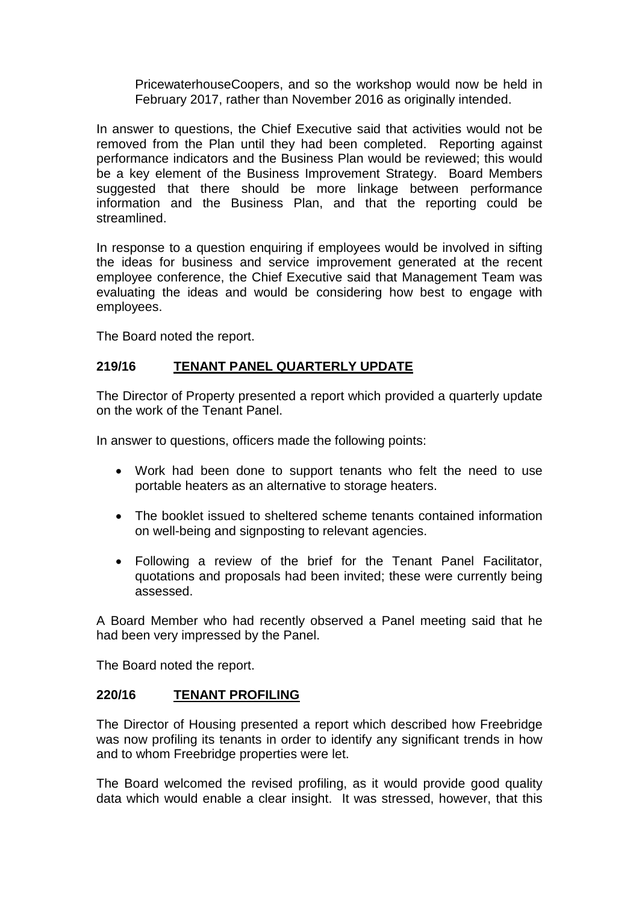PricewaterhouseCoopers, and so the workshop would now be held in February 2017, rather than November 2016 as originally intended.

In answer to questions, the Chief Executive said that activities would not be removed from the Plan until they had been completed. Reporting against performance indicators and the Business Plan would be reviewed; this would be a key element of the Business Improvement Strategy. Board Members suggested that there should be more linkage between performance information and the Business Plan, and that the reporting could be streamlined.

In response to a question enquiring if employees would be involved in sifting the ideas for business and service improvement generated at the recent employee conference, the Chief Executive said that Management Team was evaluating the ideas and would be considering how best to engage with employees.

The Board noted the report.

# **219/16 TENANT PANEL QUARTERLY UPDATE**

The Director of Property presented a report which provided a quarterly update on the work of the Tenant Panel.

In answer to questions, officers made the following points:

- Work had been done to support tenants who felt the need to use portable heaters as an alternative to storage heaters.
- The booklet issued to sheltered scheme tenants contained information on well-being and signposting to relevant agencies.
- Following a review of the brief for the Tenant Panel Facilitator, quotations and proposals had been invited; these were currently being assessed.

A Board Member who had recently observed a Panel meeting said that he had been very impressed by the Panel.

The Board noted the report.

### **220/16 TENANT PROFILING**

The Director of Housing presented a report which described how Freebridge was now profiling its tenants in order to identify any significant trends in how and to whom Freebridge properties were let.

The Board welcomed the revised profiling, as it would provide good quality data which would enable a clear insight. It was stressed, however, that this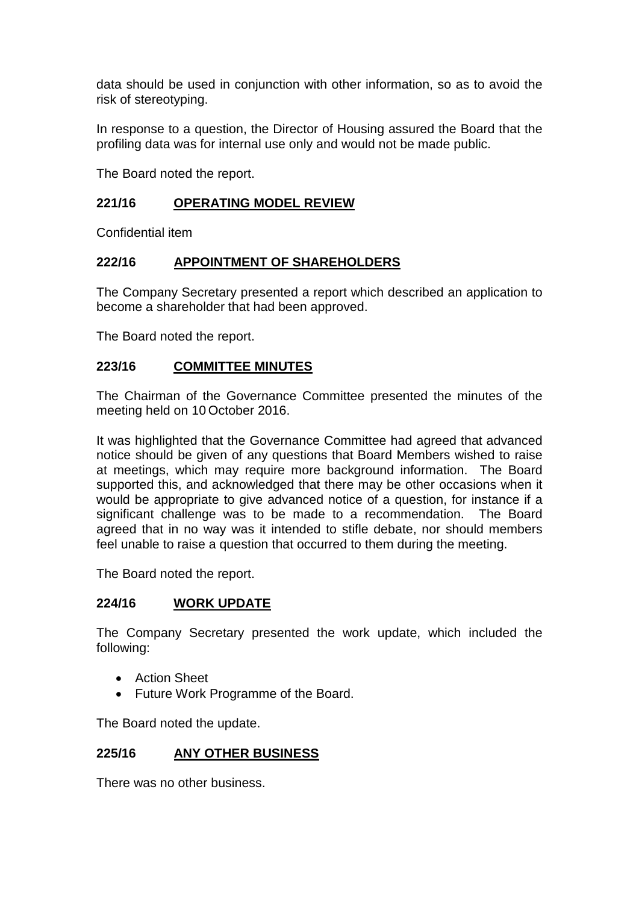data should be used in conjunction with other information, so as to avoid the risk of stereotyping.

In response to a question, the Director of Housing assured the Board that the profiling data was for internal use only and would not be made public.

The Board noted the report.

## **221/16 OPERATING MODEL REVIEW**

Confidential item

## **222/16 APPOINTMENT OF SHAREHOLDERS**

The Company Secretary presented a report which described an application to become a shareholder that had been approved.

The Board noted the report.

### **223/16 COMMITTEE MINUTES**

The Chairman of the Governance Committee presented the minutes of the meeting held on 10 October 2016.

It was highlighted that the Governance Committee had agreed that advanced notice should be given of any questions that Board Members wished to raise at meetings, which may require more background information. The Board supported this, and acknowledged that there may be other occasions when it would be appropriate to give advanced notice of a question, for instance if a significant challenge was to be made to a recommendation. The Board agreed that in no way was it intended to stifle debate, nor should members feel unable to raise a question that occurred to them during the meeting.

The Board noted the report.

### **224/16 WORK UPDATE**

The Company Secretary presented the work update, which included the following:

- Action Sheet
- Future Work Programme of the Board.

The Board noted the update.

## **225/16 ANY OTHER BUSINESS**

There was no other business.